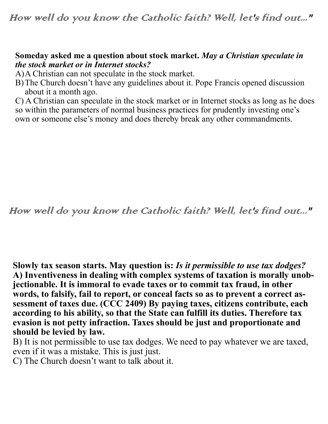## **Someday asked me a question about stock market.** *May a Christian speculate in the stock market or in Internet stocks?*

A)A Christian can not speculate in the stock market.

B)The Church doesn't have any guidelines about it. Pope Francis opened discussion about it a month ago.

C) A Christian can speculate in the stock market or in Internet stocks as long as he does so within the parameters of normal business practices for prudently investing one's own or someone else's money and does thereby break any other commandments.

How well do you know the Catholic faith? Well, let's find out..."

**Slowly tax season starts. May question is:** *Is it permissible to use tax dodges?* **A) Inventiveness in dealing with complex systems of taxation is morally unobjectionable. It is immoral to evade taxes or to commit tax fraud, in other words, to falsify, fail to report, or conceal facts so as to prevent a correct assessment of taxes due. (CCC 2409) By paying taxes, citizens contribute, each according to his ability, so that the State can fulfill its duties. Therefore tax evasion is not petty infraction. Taxes should be just and proportionate and should be levied by law.** 

B) It is not permissible to use tax dodges. We need to pay whatever we are taxed, even if it was a mistake. This is just just.

C) The Church doesn't want to talk about it.